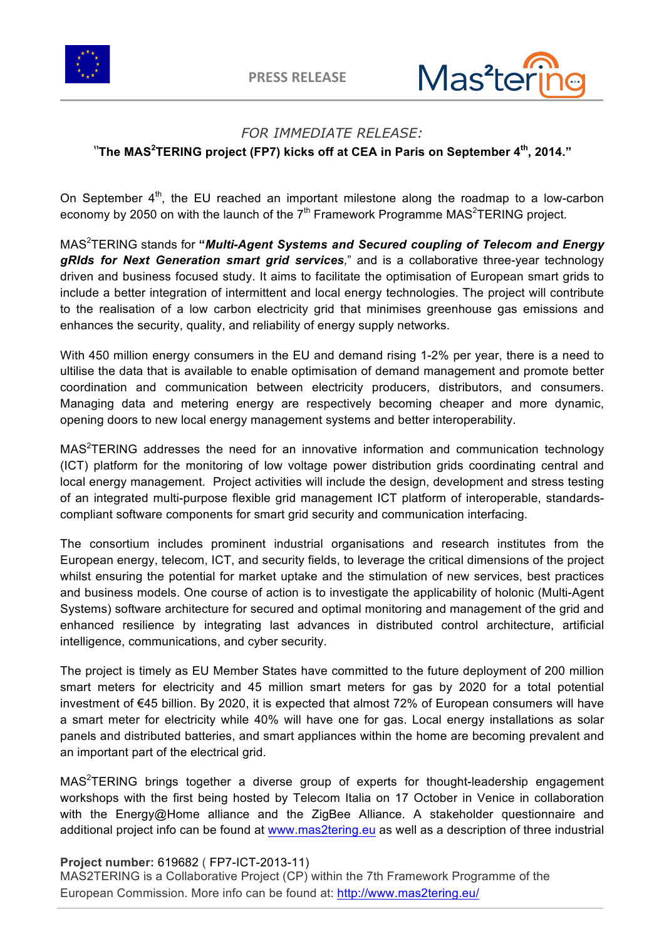



## *FOR IMMEDIATE RELEASE:*

*"***The MAS<sup>2</sup> TERING project (FP7) kicks off at CEA in Paris on September 4th, 2014."**

On September  $4<sup>th</sup>$ , the EU reached an important milestone along the roadmap to a low-carbon economy by 2050 on with the launch of the  $7<sup>th</sup>$  Framework Programme MAS<sup>2</sup>TERING project.

MAS<sup>2</sup> TERING stands for **"***Multi-Agent Systems and Secured coupling of Telecom and Energy gRIds for Next Generation smart grid services,*" and is a collaborative three-year technology driven and business focused study. It aims to facilitate the optimisation of European smart grids to include a better integration of intermittent and local energy technologies. The project will contribute to the realisation of a low carbon electricity grid that minimises greenhouse gas emissions and enhances the security, quality, and reliability of energy supply networks.

With 450 million energy consumers in the EU and demand rising 1-2% per year, there is a need to ultilise the data that is available to enable optimisation of demand management and promote better coordination and communication between electricity producers, distributors, and consumers. Managing data and metering energy are respectively becoming cheaper and more dynamic, opening doors to new local energy management systems and better interoperability.

 $MAS<sup>2</sup>TERING addresses$  the need for an innovative information and communication technology (ICT) platform for the monitoring of low voltage power distribution grids coordinating central and local energy management. Project activities will include the design, development and stress testing of an integrated multi-purpose flexible grid management ICT platform of interoperable, standardscompliant software components for smart grid security and communication interfacing.

The consortium includes prominent industrial organisations and research institutes from the European energy, telecom, ICT, and security fields, to leverage the critical dimensions of the project whilst ensuring the potential for market uptake and the stimulation of new services, best practices and business models. One course of action is to investigate the applicability of holonic (Multi-Agent Systems) software architecture for secured and optimal monitoring and management of the grid and enhanced resilience by integrating last advances in distributed control architecture, artificial intelligence, communications, and cyber security.

The project is timely as EU Member States have committed to the future deployment of 200 million smart meters for electricity and 45 million smart meters for gas by 2020 for a total potential investment of €45 billion. By 2020, it is expected that almost 72% of European consumers will have a smart meter for electricity while 40% will have one for gas. Local energy installations as solar panels and distributed batteries, and smart appliances within the home are becoming prevalent and an important part of the electrical grid.

 $MAS<sup>2</sup>TERING$  brings together a diverse group of experts for thought-leadership engagement workshops with the first being hosted by Telecom Italia on 17 October in Venice in collaboration with the Energy@Home alliance and the ZigBee Alliance. A stakeholder questionnaire and additional project info can be found at www.mas2tering.eu as well as a description of three industrial

## **Project number:** 619682 ( FP7-ICT-2013-11)

MAS2TERING is a Collaborative Project (CP) within the 7th Framework Programme of the European Commission. More info can be found at: http://www.mas2tering.eu/